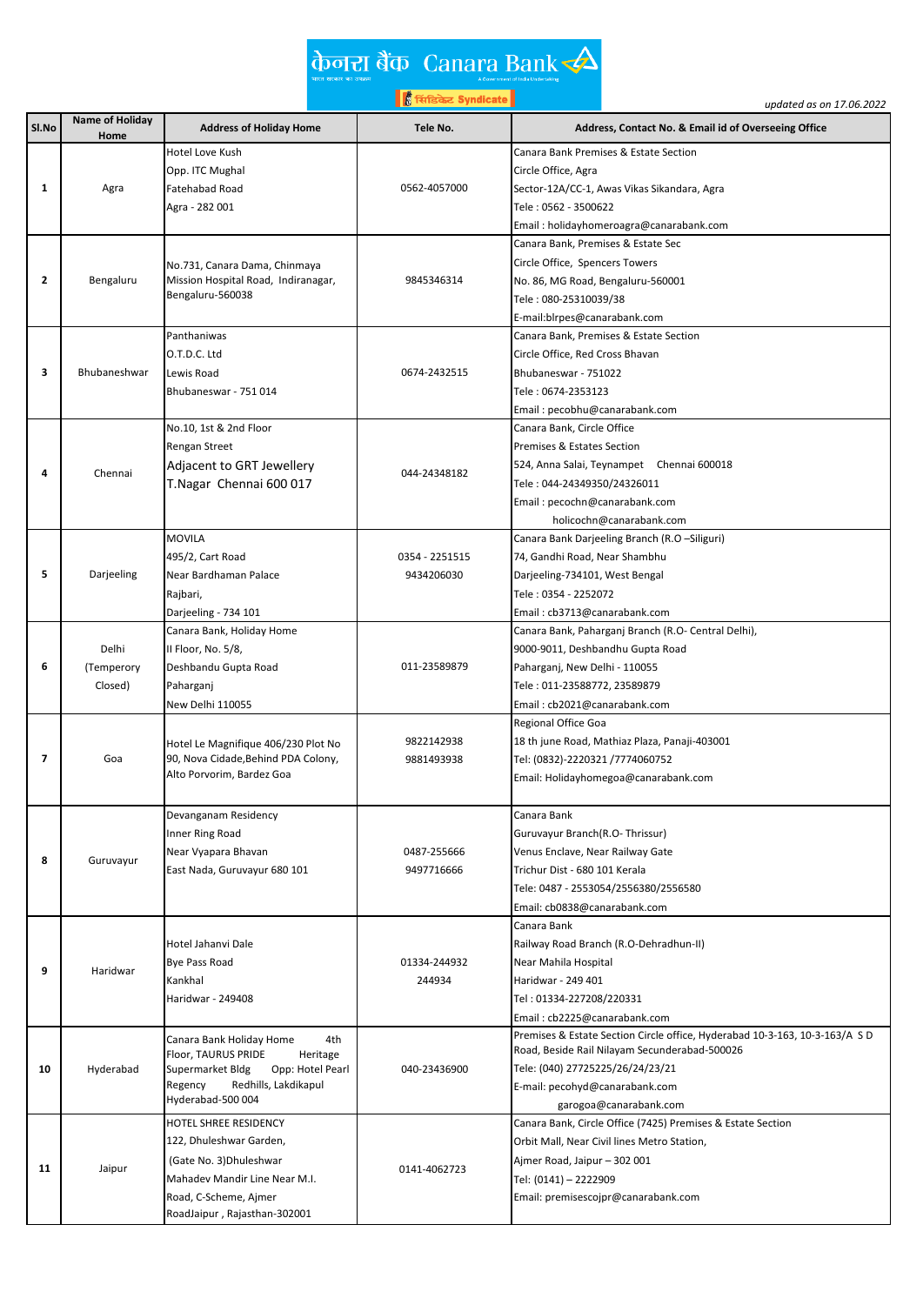|                      | केनरा बैंक Canara Bank            |
|----------------------|-----------------------------------|
| भारत सरकार का उपक्रम | A Government of India Undertaking |

A Sovernment of India Undertaking<br>Et<mark>h सिंडिकेट Syndicate</mark>

|                |                        |                                                                            | ह्री सिडिकेट Syndicate | updated as on 17.06.2022                                                    |
|----------------|------------------------|----------------------------------------------------------------------------|------------------------|-----------------------------------------------------------------------------|
| Sl.No          | <b>Name of Holiday</b> | <b>Address of Holiday Home</b>                                             | Tele No.               | Address, Contact No. & Email id of Overseeing Office                        |
|                | Home                   | Hotel Love Kush                                                            |                        | Canara Bank Premises & Estate Section                                       |
|                |                        |                                                                            |                        | Circle Office, Agra                                                         |
| 1              | Agra                   | Opp. ITC Mughal<br><b>Fatehabad Road</b>                                   | 0562-4057000           | Sector-12A/CC-1, Awas Vikas Sikandara, Agra                                 |
|                |                        | Agra - 282 001                                                             |                        | Tele : 0562 - 3500622                                                       |
|                |                        |                                                                            |                        |                                                                             |
|                |                        |                                                                            |                        | Email: holidayhomeroagra@canarabank.com                                     |
|                |                        |                                                                            |                        | Canara Bank, Premises & Estate Sec                                          |
| $\overline{2}$ | Bengaluru              | No.731, Canara Dama, Chinmaya<br>Mission Hospital Road, Indiranagar,       | 9845346314             | Circle Office, Spencers Towers                                              |
|                |                        | Bengaluru-560038                                                           |                        | No. 86, MG Road, Bengaluru-560001                                           |
|                |                        |                                                                            |                        | Tele: 080-25310039/38                                                       |
|                |                        |                                                                            |                        | E-mail:blrpes@canarabank.com                                                |
|                |                        | Panthaniwas                                                                |                        | Canara Bank, Premises & Estate Section                                      |
| 3              | Bhubaneshwar           | O.T.D.C. Ltd                                                               |                        | Circle Office, Red Cross Bhavan                                             |
|                |                        | Lewis Road                                                                 | 0674-2432515           | Bhubaneswar - 751022                                                        |
|                |                        | Bhubaneswar - 751 014                                                      |                        | Tele: 0674-2353123                                                          |
|                |                        |                                                                            |                        | Email: pecobhu@canarabank.com                                               |
|                |                        | No.10, 1st & 2nd Floor                                                     |                        | Canara Bank, Circle Office                                                  |
|                |                        | Rengan Street                                                              |                        | <b>Premises &amp; Estates Section</b>                                       |
| 4              | Chennai                | Adjacent to GRT Jewellery                                                  | 044-24348182           | 524, Anna Salai, Teynampet Chennai 600018                                   |
|                |                        | T.Nagar Chennai 600 017                                                    |                        | Tele: 044-24349350/24326011                                                 |
|                |                        |                                                                            |                        | Email: pecochn@canarabank.com                                               |
|                |                        | <b>MOVILA</b>                                                              |                        | holicochn@canarabank.com                                                    |
|                |                        |                                                                            |                        | Canara Bank Darjeeling Branch (R.O -Siliguri)                               |
| 5              |                        | 495/2, Cart Road                                                           | 0354 - 2251515         | 74, Gandhi Road, Near Shambhu                                               |
|                | Darjeeling             | Near Bardhaman Palace                                                      | 9434206030             | Darjeeling-734101, West Bengal                                              |
|                |                        | Rajbari,                                                                   |                        | Tele: 0354 - 2252072                                                        |
|                |                        | Darjeeling - 734 101                                                       |                        | Email: cb3713@canarabank.com                                                |
|                |                        | Canara Bank, Holiday Home                                                  |                        | Canara Bank, Paharganj Branch (R.O- Central Delhi),                         |
|                | Delhi                  | II Floor, No. 5/8,                                                         |                        | 9000-9011, Deshbandhu Gupta Road                                            |
| 6              | (Temperory             | Deshbandu Gupta Road                                                       | 011-23589879           | Paharganj, New Delhi - 110055                                               |
|                | Closed)                | Paharganj                                                                  |                        | Tele: 011-23588772, 23589879                                                |
|                |                        | New Delhi 110055                                                           |                        | Email: cb2021@canarabank.com                                                |
|                |                        |                                                                            | 9822142938             | Regional Office Goa                                                         |
| 7              | Goa                    | Hotel Le Magnifique 406/230 Plot No<br>90, Nova Cidade, Behind PDA Colony, | 9881493938             | 18 th june Road, Mathiaz Plaza, Panaji-403001                               |
|                |                        | Alto Porvorim, Bardez Goa                                                  |                        | Tel: (0832)-2220321/7774060752<br>Email: Holidayhomegoa@canarabank.com      |
|                |                        |                                                                            |                        |                                                                             |
|                |                        | Devanganam Residency                                                       |                        | Canara Bank                                                                 |
|                |                        | Inner Ring Road                                                            |                        | Guruvayur Branch(R.O-Thrissur)                                              |
|                |                        | Near Vyapara Bhavan                                                        | 0487-255666            | Venus Enclave, Near Railway Gate                                            |
| 8              | Guruvayur              | East Nada, Guruvayur 680 101                                               | 9497716666             | Trichur Dist - 680 101 Kerala                                               |
|                |                        |                                                                            |                        | Tele: 0487 - 2553054/2556380/2556580                                        |
|                |                        |                                                                            |                        | Email: cb0838@canarabank.com                                                |
|                |                        |                                                                            |                        | Canara Bank                                                                 |
|                |                        | Hotel Jahanyi Dale                                                         | 01334-244932           | Railway Road Branch (R.O-Dehradhun-II)                                      |
|                |                        | <b>Bye Pass Road</b>                                                       |                        | Near Mahila Hospital                                                        |
| 9              | Haridwar               | Kankhal                                                                    | 244934                 | Haridwar - 249 401                                                          |
|                |                        | Haridwar - 249408                                                          |                        | Tel: 01334-227208/220331                                                    |
|                |                        |                                                                            |                        | Email: cb2225@canarabank.com                                                |
|                |                        |                                                                            |                        | Premises & Estate Section Circle office, Hyderabad 10-3-163, 10-3-163/A S D |
|                |                        | Canara Bank Holiday Home<br>4th                                            |                        | Road, Beside Rail Nilayam Secunderabad-500026                               |
| 10             | Hyderabad              | Floor, TAURUS PRIDE<br>Heritage<br>Opp: Hotel Pearl<br>Supermarket Bldg    | 040-23436900           | Tele: (040) 27725225/26/24/23/21                                            |
|                |                        | Redhills, Lakdikapul<br>Regency                                            |                        | E-mail: pecohyd@canarabank.com                                              |
|                |                        | Hyderabad-500 004                                                          |                        | garogoa@canarabank.com                                                      |
|                |                        | HOTEL SHREE RESIDENCY                                                      |                        | Canara Bank, Circle Office (7425) Premises & Estate Section                 |
|                |                        | 122, Dhuleshwar Garden,                                                    |                        | Orbit Mall, Near Civil lines Metro Station,                                 |
|                |                        | (Gate No. 3) Dhuleshwar                                                    |                        | Ajmer Road, Jaipur - 302 001                                                |
| 11             | Jaipur                 | Mahadev Mandir Line Near M.I.                                              | 0141-4062723           | Tel: (0141) - 2222909                                                       |
|                |                        | Road, C-Scheme, Ajmer                                                      |                        | Email: premisescojpr@canarabank.com                                         |
|                |                        | RoadJaipur, Rajasthan-302001                                               |                        |                                                                             |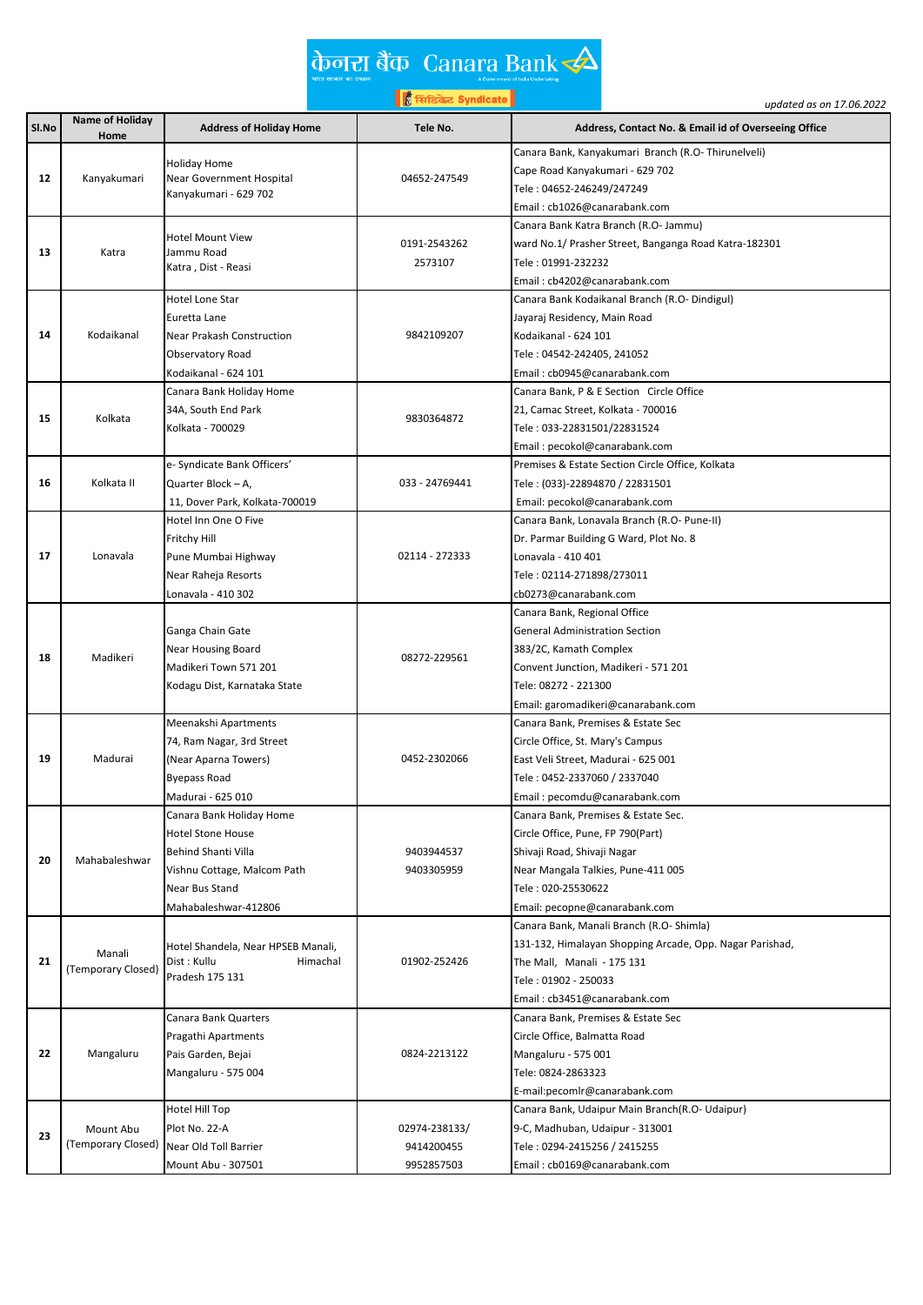## केनरा बैंक Canara Bank $\triangle$

्ति ।<br>अधिकार Syndicate |<br>अधिकार Syndicate |

|       |                    |                                    | <mark>∥ हैं</mark> सिंडिकेट Syndicate | updated as on 17.06.2022                                                      |
|-------|--------------------|------------------------------------|---------------------------------------|-------------------------------------------------------------------------------|
| Sl.No | Name of Holiday    | <b>Address of Holiday Home</b>     | Tele No.                              | Address, Contact No. & Email id of Overseeing Office                          |
|       | Home               |                                    |                                       |                                                                               |
|       |                    | <b>Holiday Home</b>                |                                       | Canara Bank, Kanyakumari Branch (R.O-Thirunelveli)                            |
| 12    | Kanyakumari        | Near Government Hospital           | 04652-247549                          | Cape Road Kanyakumari - 629 702<br>Tele: 04652-246249/247249                  |
|       |                    | Kanyakumari - 629 702              |                                       | Email: cb1026@canarabank.com                                                  |
|       |                    |                                    |                                       |                                                                               |
|       |                    | <b>Hotel Mount View</b>            | 0191-2543262                          | Canara Bank Katra Branch (R.O- Jammu)                                         |
| 13    | Katra              | Jammu Road                         | 2573107                               | ward No.1/ Prasher Street, Banganga Road Katra-182301<br>Tele: 01991-232232   |
|       |                    | Katra, Dist - Reasi                |                                       |                                                                               |
|       |                    | Hotel Lone Star                    |                                       | Email: cb4202@canarabank.com<br>Canara Bank Kodaikanal Branch (R.O- Dindigul) |
|       |                    | Euretta Lane                       |                                       | Jayaraj Residency, Main Road                                                  |
| 14    | Kodaikanal         | Near Prakash Construction          | 9842109207                            | Kodaikanal - 624 101                                                          |
|       |                    | Observatory Road                   |                                       | Tele : 04542-242405, 241052                                                   |
|       |                    | Kodaikanal - 624 101               |                                       | Email: cb0945@canarabank.com                                                  |
|       |                    | Canara Bank Holiday Home           |                                       | Canara Bank, P & E Section Circle Office                                      |
|       |                    | 34A, South End Park                |                                       | 21, Camac Street, Kolkata - 700016                                            |
| 15    | Kolkata            | Kolkata - 700029                   | 9830364872                            | Tele: 033-22831501/22831524                                                   |
|       |                    |                                    |                                       | Email: pecokol@canarabank.com                                                 |
|       |                    | e- Syndicate Bank Officers'        |                                       | Premises & Estate Section Circle Office, Kolkata                              |
| 16    | Kolkata II         | Quarter Block - A,                 | 033 - 24769441                        | Tele : (033)-22894870 / 22831501                                              |
|       |                    | 11, Dover Park, Kolkata-700019     |                                       | Email: pecokol@canarabank.com                                                 |
|       |                    | Hotel Inn One O Five               |                                       | Canara Bank, Lonavala Branch (R.O- Pune-II)                                   |
|       |                    | Fritchy Hill                       |                                       | Dr. Parmar Building G Ward, Plot No. 8                                        |
| 17    | Lonavala           | Pune Mumbai Highway                | 02114 - 272333                        | Lonavala - 410 401                                                            |
|       |                    | Near Raheja Resorts                |                                       | Tele : 02114-271898/273011                                                    |
|       |                    | Lonavala - 410 302                 |                                       | cb0273@canarabank.com                                                         |
|       |                    |                                    |                                       | Canara Bank, Regional Office                                                  |
|       |                    | Ganga Chain Gate                   |                                       | <b>General Administration Section</b>                                         |
|       |                    | Near Housing Board                 |                                       | 383/2C, Kamath Complex                                                        |
| 18    | Madikeri           | Madikeri Town 571 201              | 08272-229561                          | Convent Junction, Madikeri - 571 201                                          |
|       |                    | Kodagu Dist, Karnataka State       |                                       | Tele: 08272 - 221300                                                          |
|       |                    |                                    |                                       | Email: garomadikeri@canarabank.com                                            |
|       |                    | Meenakshi Apartments               |                                       | Canara Bank, Premises & Estate Sec                                            |
|       |                    | 74, Ram Nagar, 3rd Street          |                                       | Circle Office, St. Mary's Campus                                              |
| 19    | Madurai            | (Near Aparna Towers)               | 0452-2302066                          | East Veli Street, Madurai - 625 001                                           |
|       |                    | <b>Byepass Road</b>                |                                       | Tele : 0452-2337060 / 2337040                                                 |
|       |                    | Madurai - 625 010                  |                                       | Email: pecomdu@canarabank.com                                                 |
|       |                    | Canara Bank Holiday Home           |                                       | Canara Bank, Premises & Estate Sec.                                           |
|       |                    | <b>Hotel Stone House</b>           |                                       | Circle Office, Pune, FP 790(Part)                                             |
|       |                    | Behind Shanti Villa                | 9403944537                            | Shivaji Road, Shivaji Nagar                                                   |
| 20    | Mahabaleshwar      | Vishnu Cottage, Malcom Path        | 9403305959                            | Near Mangala Talkies, Pune-411 005                                            |
|       |                    | Near Bus Stand                     |                                       | Tele: 020-25530622                                                            |
|       |                    | Mahabaleshwar-412806               |                                       | Email: pecopne@canarabank.com                                                 |
|       |                    |                                    |                                       | Canara Bank, Manali Branch (R.O- Shimla)                                      |
|       |                    | Hotel Shandela, Near HPSEB Manali, |                                       | 131-132, Himalayan Shopping Arcade, Opp. Nagar Parishad,                      |
| 21    | Manali             | Dist : Kullu<br>Himachal           | 01902-252426                          | The Mall, Manali - 175 131                                                    |
|       | (Temporary Closed) | Pradesh 175 131                    |                                       | Tele: 01902 - 250033                                                          |
|       |                    |                                    |                                       | Email: cb3451@canarabank.com                                                  |
|       |                    | Canara Bank Quarters               |                                       | Canara Bank, Premises & Estate Sec                                            |
|       |                    | Pragathi Apartments                |                                       | Circle Office, Balmatta Road                                                  |
| 22    | Mangaluru          | Pais Garden, Bejai                 | 0824-2213122                          | Mangaluru - 575 001                                                           |
|       |                    | Mangaluru - 575 004                |                                       | Tele: 0824-2863323                                                            |
|       |                    |                                    |                                       | E-mail:pecomlr@canarabank.com                                                 |
|       |                    | Hotel Hill Top                     |                                       | Canara Bank, Udaipur Main Branch(R.O- Udaipur)                                |
|       | Mount Abu          | Plot No. 22-A                      | 02974-238133/                         | 9-C, Madhuban, Udaipur - 313001                                               |
| 23    | (Temporary Closed) | Near Old Toll Barrier              | 9414200455                            | Tele: 0294-2415256 / 2415255                                                  |
|       |                    | Mount Abu - 307501                 | 9952857503                            | Email: cb0169@canarabank.com                                                  |
|       |                    |                                    |                                       |                                                                               |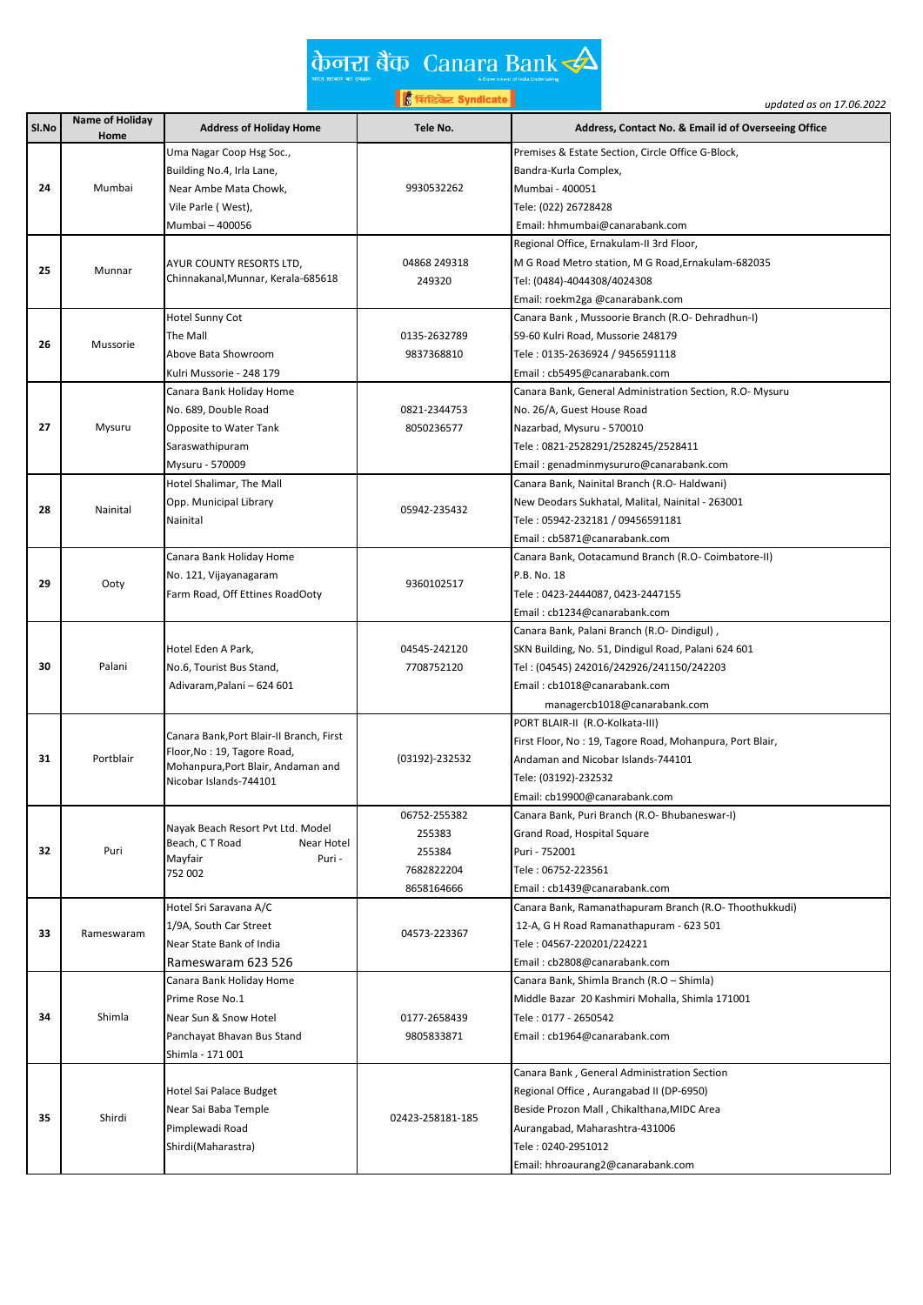## केनरा बैंक Canara Bank $\triangle$

्ति ।<br>अधिकार Syndicate |<br>अधिकार Syndicate |

|       |                 |                                          | │∦ सिंडिकेट Syndicate │ | updated as on 17.06.2022                                 |
|-------|-----------------|------------------------------------------|-------------------------|----------------------------------------------------------|
| Sl.No | Name of Holiday | <b>Address of Holiday Home</b>           | Tele No.                | Address, Contact No. & Email id of Overseeing Office     |
|       | Home            | Uma Nagar Coop Hsg Soc.,                 |                         | Premises & Estate Section, Circle Office G-Block,        |
|       |                 | Building No.4, Irla Lane,                |                         | Bandra-Kurla Complex,                                    |
| 24    | Mumbai          | Near Ambe Mata Chowk,                    | 9930532262              | Mumbai - 400051                                          |
|       |                 | Vile Parle (West),                       |                         | Tele: (022) 26728428                                     |
|       |                 | Mumbai - 400056                          |                         | Email: hhmumbai@canarabank.com                           |
|       |                 |                                          |                         | Regional Office, Ernakulam-II 3rd Floor,                 |
|       |                 | AYUR COUNTY RESORTS LTD,                 | 04868 249318            | M G Road Metro station, M G Road, Ernakulam-682035       |
| 25    | Munnar          | Chinnakanal, Munnar, Kerala-685618       | 249320                  | Tel: (0484)-4044308/4024308                              |
|       |                 |                                          |                         | Email: roekm2ga @canarabank.com                          |
|       |                 | Hotel Sunny Cot                          |                         | Canara Bank, Mussoorie Branch (R.O- Dehradhun-I)         |
|       |                 | The Mall                                 | 0135-2632789            | 59-60 Kulri Road, Mussorie 248179                        |
| 26    | Mussorie        | Above Bata Showroom                      | 9837368810              | Tele : 0135-2636924 / 9456591118                         |
|       |                 | Kulri Mussorie - 248 179                 |                         | Email: cb5495@canarabank.com                             |
|       |                 | Canara Bank Holiday Home                 |                         | Canara Bank, General Administration Section, R.O- Mysuru |
|       |                 | No. 689, Double Road                     | 0821-2344753            | No. 26/A, Guest House Road                               |
| 27    | Mysuru          | Opposite to Water Tank                   | 8050236577              | Nazarbad, Mysuru - 570010                                |
|       |                 | Saraswathipuram                          |                         | Tele : 0821-2528291/2528245/2528411                      |
|       |                 | Mysuru - 570009                          |                         |                                                          |
|       |                 | Hotel Shalimar, The Mall                 |                         | Email: genadminmysururo@canarabank.com                   |
|       |                 |                                          |                         | Canara Bank, Nainital Branch (R.O- Haldwani)             |
| 28    | Nainital        | Opp. Municipal Library                   | 05942-235432            | New Deodars Sukhatal, Malital, Nainital - 263001         |
|       |                 | Nainital                                 |                         | Tele : 05942-232181 / 09456591181                        |
|       |                 |                                          |                         | Email: cb5871@canarabank.com                             |
|       |                 | Canara Bank Holiday Home                 |                         | Canara Bank, Ootacamund Branch (R.O- Coimbatore-II)      |
| 29    | Ooty            | No. 121, Vijayanagaram                   | 9360102517              | P.B. No. 18                                              |
|       |                 | Farm Road, Off Ettines RoadOoty          |                         | Tele : 0423-2444087, 0423-2447155                        |
|       |                 |                                          |                         | Email: cb1234@canarabank.com                             |
|       |                 |                                          |                         | Canara Bank, Palani Branch (R.O- Dindigul),              |
|       |                 | Hotel Eden A Park,                       | 04545-242120            | SKN Building, No. 51, Dindigul Road, Palani 624 601      |
| 30    | Palani          | No.6, Tourist Bus Stand,                 | 7708752120              | Tel: (04545) 242016/242926/241150/242203                 |
|       |                 | Adivaram, Palani - 624 601               |                         | Email: cb1018@canarabank.com                             |
|       |                 |                                          |                         | managercb1018@canarabank.com                             |
|       |                 | Canara Bank, Port Blair-II Branch, First |                         | PORT BLAIR-II (R.O-Kolkata-III)                          |
|       |                 | Floor, No: 19, Tagore Road,              |                         | First Floor, No: 19, Tagore Road, Mohanpura, Port Blair, |
| 31    | Portblair       | Mohanpura, Port Blair, Andaman and       | (03192)-232532          | Andaman and Nicobar Islands-744101                       |
|       |                 | Nicobar Islands-744101                   |                         | Tele: (03192)-232532                                     |
|       |                 |                                          |                         | Email: cb19900@canarabank.com                            |
|       |                 | Nayak Beach Resort Pvt Ltd. Model        | 06752-255382            | Canara Bank, Puri Branch (R.O- Bhubaneswar-I)            |
|       |                 | Beach, CT Road<br>Near Hotel             | 255383                  | Grand Road, Hospital Square                              |
| 32    | Puri            | Puri -<br>Mayfair                        | 255384                  | Puri - 752001                                            |
|       |                 | 752 002                                  | 7682822204              | Tele: 06752-223561                                       |
|       |                 |                                          | 8658164666              | Email: cb1439@canarabank.com                             |
|       |                 | Hotel Sri Saravana A/C                   |                         | Canara Bank, Ramanathapuram Branch (R.O-Thoothukkudi)    |
| 33    | Rameswaram      | 1/9A, South Car Street                   | 04573-223367            | 12-A, G H Road Ramanathapuram - 623 501                  |
|       |                 | Near State Bank of India                 |                         | Tele: 04567-220201/224221                                |
|       |                 | Rameswaram 623 526                       |                         | Email: cb2808@canarabank.com                             |
|       |                 | Canara Bank Holiday Home                 |                         | Canara Bank, Shimla Branch (R.O - Shimla)                |
|       |                 | Prime Rose No.1                          |                         | Middle Bazar 20 Kashmiri Mohalla, Shimla 171001          |
| 34    | Shimla          | Near Sun & Snow Hotel                    | 0177-2658439            | Tele : 0177 - 2650542                                    |
|       |                 | Panchayat Bhavan Bus Stand               | 9805833871              | Email: cb1964@canarabank.com                             |
|       |                 | Shimla - 171 001                         |                         |                                                          |
|       |                 |                                          |                         | Canara Bank, General Administration Section              |
|       |                 | Hotel Sai Palace Budget                  |                         | Regional Office, Aurangabad II (DP-6950)                 |
|       |                 | Near Sai Baba Temple                     |                         | Beside Prozon Mall, Chikalthana, MIDC Area               |
| 35    | Shirdi          | Pimplewadi Road                          | 02423-258181-185        | Aurangabad, Maharashtra-431006                           |
|       |                 | Shirdi(Maharastra)                       |                         | Tele: 0240-2951012                                       |
|       |                 |                                          |                         | Email: hhroaurang2@canarabank.com                        |
|       |                 |                                          |                         |                                                          |